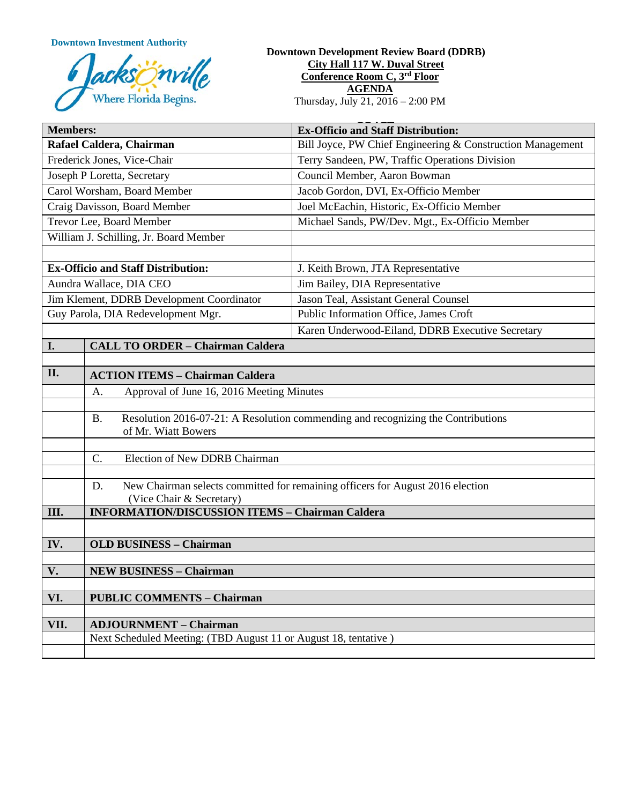**Downtown Investment Authority**



#### **Downtown Development Review Board (DDRB) City Hall 117 W. Duval Street Conference Room C, 3rd Floor AGENDA**  Thursday, July 21, 2016 – 2:00 PM

| <b>Members:</b>                           |                                                                                                  | <b>Ex-Officio and Staff Distribution:</b>                                        |
|-------------------------------------------|--------------------------------------------------------------------------------------------------|----------------------------------------------------------------------------------|
| Rafael Caldera, Chairman                  |                                                                                                  | Bill Joyce, PW Chief Engineering & Construction Management                       |
| Frederick Jones, Vice-Chair               |                                                                                                  | Terry Sandeen, PW, Traffic Operations Division                                   |
| Joseph P Loretta, Secretary               |                                                                                                  | Council Member, Aaron Bowman                                                     |
| Carol Worsham, Board Member               |                                                                                                  | Jacob Gordon, DVI, Ex-Officio Member                                             |
| Craig Davisson, Board Member              |                                                                                                  | Joel McEachin, Historic, Ex-Officio Member                                       |
| Trevor Lee, Board Member                  |                                                                                                  | Michael Sands, PW/Dev. Mgt., Ex-Officio Member                                   |
| William J. Schilling, Jr. Board Member    |                                                                                                  |                                                                                  |
|                                           |                                                                                                  |                                                                                  |
| <b>Ex-Officio and Staff Distribution:</b> |                                                                                                  | J. Keith Brown, JTA Representative                                               |
| Aundra Wallace, DIA CEO                   |                                                                                                  | Jim Bailey, DIA Representative                                                   |
| Jim Klement, DDRB Development Coordinator |                                                                                                  | Jason Teal, Assistant General Counsel                                            |
| Guy Parola, DIA Redevelopment Mgr.        |                                                                                                  | Public Information Office, James Croft                                           |
|                                           |                                                                                                  | Karen Underwood-Eiland, DDRB Executive Secretary                                 |
| I.                                        | <b>CALL TO ORDER - Chairman Caldera</b>                                                          |                                                                                  |
|                                           |                                                                                                  |                                                                                  |
| II.                                       | <b>ACTION ITEMS - Chairman Caldera</b>                                                           |                                                                                  |
|                                           | Approval of June 16, 2016 Meeting Minutes<br>A.                                                  |                                                                                  |
|                                           | <b>B.</b>                                                                                        | Resolution 2016-07-21: A Resolution commending and recognizing the Contributions |
|                                           | of Mr. Wiatt Bowers                                                                              |                                                                                  |
|                                           |                                                                                                  |                                                                                  |
|                                           | Election of New DDRB Chairman<br>C.                                                              |                                                                                  |
|                                           |                                                                                                  |                                                                                  |
|                                           | New Chairman selects committed for remaining officers for August 2016 election<br>D.             |                                                                                  |
| III.                                      | (Vice Chair & Secretary)<br><b>INFORMATION/DISCUSSION ITEMS - Chairman Caldera</b>               |                                                                                  |
|                                           |                                                                                                  |                                                                                  |
| IV.                                       | <b>OLD BUSINESS - Chairman</b>                                                                   |                                                                                  |
|                                           |                                                                                                  |                                                                                  |
| V.                                        | <b>NEW BUSINESS - Chairman</b>                                                                   |                                                                                  |
|                                           |                                                                                                  |                                                                                  |
| VI.                                       | <b>PUBLIC COMMENTS - Chairman</b>                                                                |                                                                                  |
|                                           |                                                                                                  |                                                                                  |
| VII.                                      | <b>ADJOURNMENT - Chairman</b><br>Next Scheduled Meeting: (TBD August 11 or August 18, tentative) |                                                                                  |
|                                           |                                                                                                  |                                                                                  |
|                                           |                                                                                                  |                                                                                  |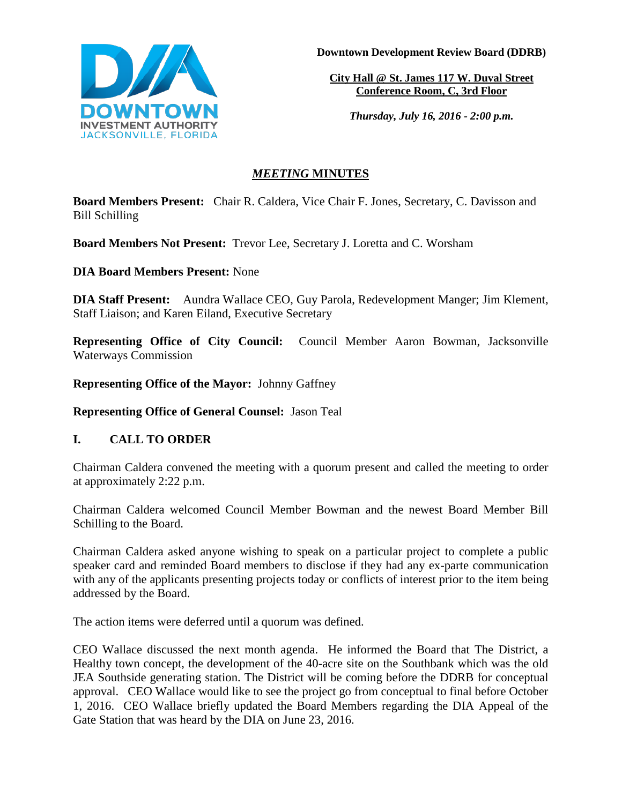

**Downtown Development Review Board (DDRB)**

**City Hall @ St. James 117 W. Duval Street Conference Room, C, 3rd Floor** 

*Thursday, July 16, 2016 - 2:00 p.m.*

# *MEETING* **MINUTES**

**Board Members Present:** Chair R. Caldera, Vice Chair F. Jones, Secretary, C. Davisson and Bill Schilling

**Board Members Not Present:** Trevor Lee, Secretary J. Loretta and C. Worsham

**DIA Board Members Present:** None

**DIA Staff Present:** Aundra Wallace CEO, Guy Parola, Redevelopment Manger; Jim Klement, Staff Liaison; and Karen Eiland, Executive Secretary

**Representing Office of City Council:** Council Member Aaron Bowman, Jacksonville Waterways Commission

**Representing Office of the Mayor:** Johnny Gaffney

**Representing Office of General Counsel:** Jason Teal

# **I. CALL TO ORDER**

Chairman Caldera convened the meeting with a quorum present and called the meeting to order at approximately 2:22 p.m.

Chairman Caldera welcomed Council Member Bowman and the newest Board Member Bill Schilling to the Board.

Chairman Caldera asked anyone wishing to speak on a particular project to complete a public speaker card and reminded Board members to disclose if they had any ex-parte communication with any of the applicants presenting projects today or conflicts of interest prior to the item being addressed by the Board.

The action items were deferred until a quorum was defined.

CEO Wallace discussed the next month agenda. He informed the Board that The District, a Healthy town concept, the development of the 40-acre site on the Southbank which was the old JEA Southside generating station. The District will be coming before the DDRB for conceptual approval. CEO Wallace would like to see the project go from conceptual to final before October 1, 2016. CEO Wallace briefly updated the Board Members regarding the DIA Appeal of the Gate Station that was heard by the DIA on June 23, 2016.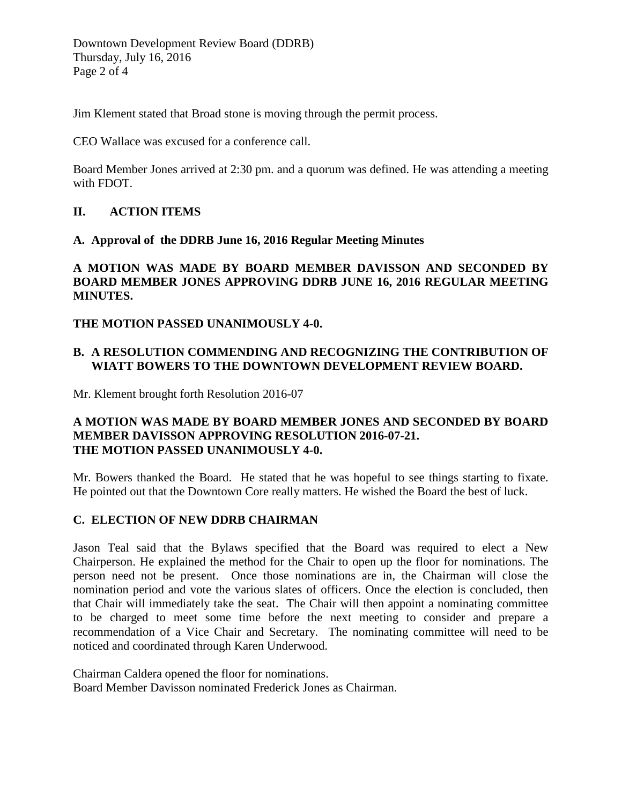Downtown Development Review Board (DDRB) Thursday, July 16, 2016 Page 2 of 4

Jim Klement stated that Broad stone is moving through the permit process.

CEO Wallace was excused for a conference call.

Board Member Jones arrived at 2:30 pm. and a quorum was defined. He was attending a meeting with FDOT.

#### **II. ACTION ITEMS**

#### **A. Approval of the DDRB June 16, 2016 Regular Meeting Minutes**

**A MOTION WAS MADE BY BOARD MEMBER DAVISSON AND SECONDED BY BOARD MEMBER JONES APPROVING DDRB JUNE 16, 2016 REGULAR MEETING MINUTES.** 

**THE MOTION PASSED UNANIMOUSLY 4-0.** 

### **B. A RESOLUTION COMMENDING AND RECOGNIZING THE CONTRIBUTION OF WIATT BOWERS TO THE DOWNTOWN DEVELOPMENT REVIEW BOARD.**

Mr. Klement brought forth Resolution 2016-07

### **A MOTION WAS MADE BY BOARD MEMBER JONES AND SECONDED BY BOARD MEMBER DAVISSON APPROVING RESOLUTION 2016-07-21. THE MOTION PASSED UNANIMOUSLY 4-0.**

Mr. Bowers thanked the Board. He stated that he was hopeful to see things starting to fixate. He pointed out that the Downtown Core really matters. He wished the Board the best of luck.

#### **C. ELECTION OF NEW DDRB CHAIRMAN**

Jason Teal said that the Bylaws specified that the Board was required to elect a New Chairperson. He explained the method for the Chair to open up the floor for nominations. The person need not be present. Once those nominations are in, the Chairman will close the nomination period and vote the various slates of officers. Once the election is concluded, then that Chair will immediately take the seat. The Chair will then appoint a nominating committee to be charged to meet some time before the next meeting to consider and prepare a recommendation of a Vice Chair and Secretary. The nominating committee will need to be noticed and coordinated through Karen Underwood.

Chairman Caldera opened the floor for nominations. Board Member Davisson nominated Frederick Jones as Chairman.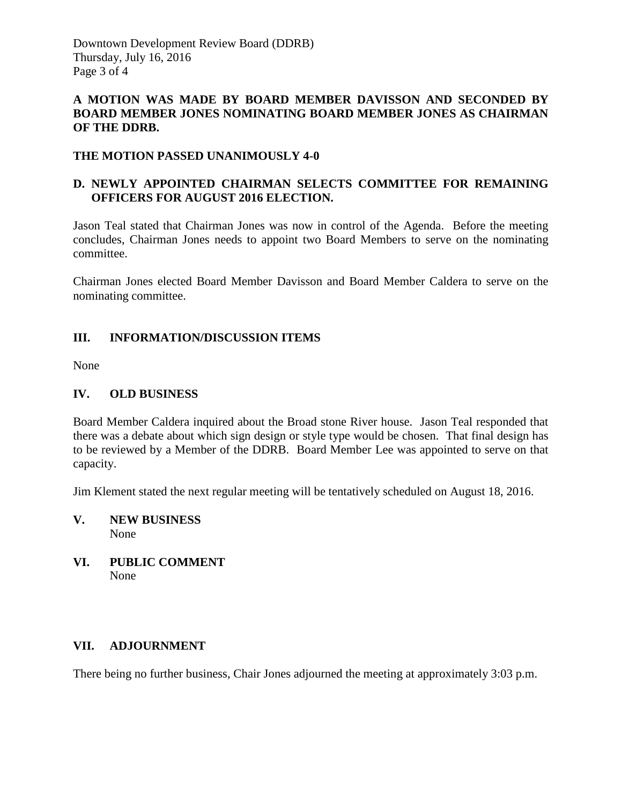### **A MOTION WAS MADE BY BOARD MEMBER DAVISSON AND SECONDED BY BOARD MEMBER JONES NOMINATING BOARD MEMBER JONES AS CHAIRMAN OF THE DDRB.**

### **THE MOTION PASSED UNANIMOUSLY 4-0**

## **D. NEWLY APPOINTED CHAIRMAN SELECTS COMMITTEE FOR REMAINING OFFICERS FOR AUGUST 2016 ELECTION.**

Jason Teal stated that Chairman Jones was now in control of the Agenda. Before the meeting concludes, Chairman Jones needs to appoint two Board Members to serve on the nominating committee.

Chairman Jones elected Board Member Davisson and Board Member Caldera to serve on the nominating committee.

### **III. INFORMATION/DISCUSSION ITEMS**

None

# **IV. OLD BUSINESS**

Board Member Caldera inquired about the Broad stone River house. Jason Teal responded that there was a debate about which sign design or style type would be chosen. That final design has to be reviewed by a Member of the DDRB. Board Member Lee was appointed to serve on that capacity.

Jim Klement stated the next regular meeting will be tentatively scheduled on August 18, 2016.

- **V. NEW BUSINESS** None
- **VI. PUBLIC COMMENT** None

### **VII. ADJOURNMENT**

There being no further business, Chair Jones adjourned the meeting at approximately 3:03 p.m.